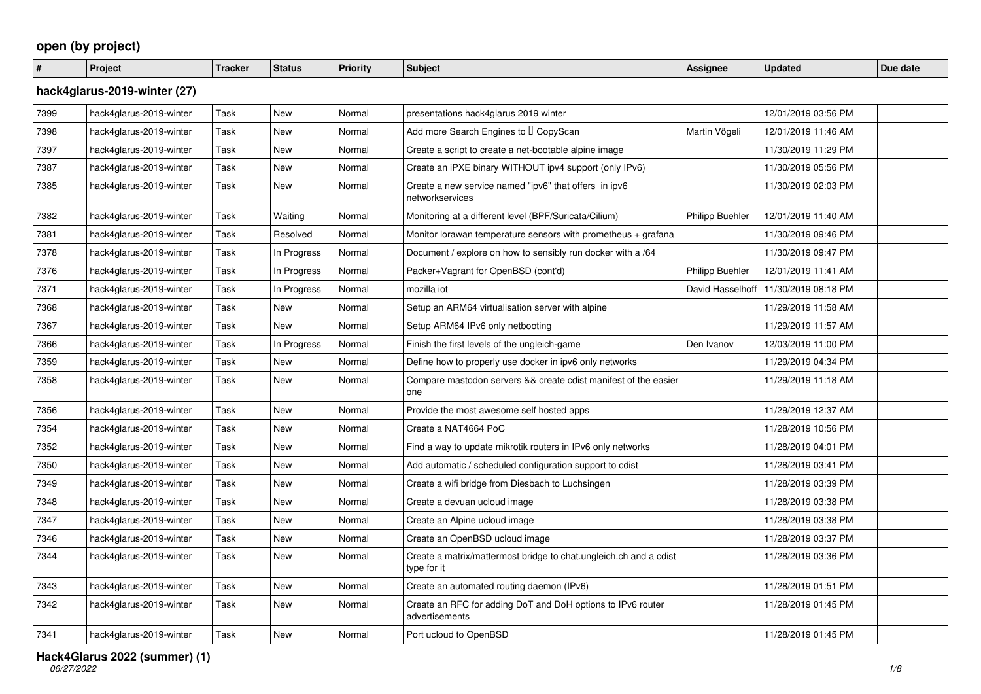## **open (by project)**

| $\vert$ #                    | Project                 | <b>Tracker</b> | <b>Status</b> | Priority | <b>Subject</b>                                                                   | Assignee         | <b>Updated</b>      | Due date |  |  |
|------------------------------|-------------------------|----------------|---------------|----------|----------------------------------------------------------------------------------|------------------|---------------------|----------|--|--|
| hack4glarus-2019-winter (27) |                         |                |               |          |                                                                                  |                  |                     |          |  |  |
| 7399                         | hack4glarus-2019-winter | Task           | New           | Normal   | presentations hack4glarus 2019 winter                                            |                  | 12/01/2019 03:56 PM |          |  |  |
| 7398                         | hack4glarus-2019-winter | Task           | New           | Normal   | Add more Search Engines to I CopyScan                                            | Martin Vögeli    | 12/01/2019 11:46 AM |          |  |  |
| 7397                         | hack4glarus-2019-winter | Task           | New           | Normal   | Create a script to create a net-bootable alpine image                            |                  | 11/30/2019 11:29 PM |          |  |  |
| 7387                         | hack4glarus-2019-winter | Task           | New           | Normal   | Create an iPXE binary WITHOUT ipv4 support (only IPv6)                           |                  | 11/30/2019 05:56 PM |          |  |  |
| 7385                         | hack4glarus-2019-winter | Task           | New           | Normal   | Create a new service named "ipv6" that offers in ipv6<br>networkservices         |                  | 11/30/2019 02:03 PM |          |  |  |
| 7382                         | hack4glarus-2019-winter | Task           | Waiting       | Normal   | Monitoring at a different level (BPF/Suricata/Cilium)                            | Philipp Buehler  | 12/01/2019 11:40 AM |          |  |  |
| 7381                         | hack4glarus-2019-winter | Task           | Resolved      | Normal   | Monitor lorawan temperature sensors with prometheus $+$ grafana                  |                  | 11/30/2019 09:46 PM |          |  |  |
| 7378                         | hack4glarus-2019-winter | Task           | In Progress   | Normal   | Document / explore on how to sensibly run docker with a /64                      |                  | 11/30/2019 09:47 PM |          |  |  |
| 7376                         | hack4glarus-2019-winter | Task           | In Progress   | Normal   | Packer+Vagrant for OpenBSD (cont'd)                                              | Philipp Buehler  | 12/01/2019 11:41 AM |          |  |  |
| 7371                         | hack4glarus-2019-winter | Task           | In Progress   | Normal   | mozilla iot                                                                      | David Hasselhoff | 11/30/2019 08:18 PM |          |  |  |
| 7368                         | hack4glarus-2019-winter | Task           | New           | Normal   | Setup an ARM64 virtualisation server with alpine                                 |                  | 11/29/2019 11:58 AM |          |  |  |
| 7367                         | hack4glarus-2019-winter | Task           | New           | Normal   | Setup ARM64 IPv6 only netbooting                                                 |                  | 11/29/2019 11:57 AM |          |  |  |
| 7366                         | hack4glarus-2019-winter | Task           | In Progress   | Normal   | Finish the first levels of the ungleich-game                                     | Den Ivanov       | 12/03/2019 11:00 PM |          |  |  |
| 7359                         | hack4glarus-2019-winter | Task           | New           | Normal   | Define how to properly use docker in ipv6 only networks                          |                  | 11/29/2019 04:34 PM |          |  |  |
| 7358                         | hack4glarus-2019-winter | Task           | New           | Normal   | Compare mastodon servers && create cdist manifest of the easier<br>one           |                  | 11/29/2019 11:18 AM |          |  |  |
| 7356                         | hack4glarus-2019-winter | Task           | New           | Normal   | Provide the most awesome self hosted apps                                        |                  | 11/29/2019 12:37 AM |          |  |  |
| 7354                         | hack4glarus-2019-winter | Task           | New           | Normal   | Create a NAT4664 PoC                                                             |                  | 11/28/2019 10:56 PM |          |  |  |
| 7352                         | hack4glarus-2019-winter | Task           | New           | Normal   | Find a way to update mikrotik routers in IPv6 only networks                      |                  | 11/28/2019 04:01 PM |          |  |  |
| 7350                         | hack4glarus-2019-winter | Task           | New           | Normal   | Add automatic / scheduled configuration support to cdist                         |                  | 11/28/2019 03:41 PM |          |  |  |
| 7349                         | hack4glarus-2019-winter | Task           | New           | Normal   | Create a wifi bridge from Diesbach to Luchsingen                                 |                  | 11/28/2019 03:39 PM |          |  |  |
| 7348                         | hack4glarus-2019-winter | Task           | New           | Normal   | Create a devuan ucloud image                                                     |                  | 11/28/2019 03:38 PM |          |  |  |
| 7347                         | hack4glarus-2019-winter | Task           | New           | Normal   | Create an Alpine ucloud image                                                    |                  | 11/28/2019 03:38 PM |          |  |  |
| 7346                         | hack4glarus-2019-winter | Task           | New           | Normal   | Create an OpenBSD ucloud image                                                   |                  | 11/28/2019 03:37 PM |          |  |  |
| 7344                         | hack4glarus-2019-winter | Task           | New           | Normal   | Create a matrix/mattermost bridge to chat.ungleich.ch and a cdist<br>type for it |                  | 11/28/2019 03:36 PM |          |  |  |
| 7343                         | hack4glarus-2019-winter | Task           | New           | Normal   | Create an automated routing daemon (IPv6)                                        |                  | 11/28/2019 01:51 PM |          |  |  |
| 7342                         | hack4glarus-2019-winter | Task           | New           | Normal   | Create an RFC for adding DoT and DoH options to IPv6 router<br>advertisements    |                  | 11/28/2019 01:45 PM |          |  |  |
| 7341                         | hack4glarus-2019-winter | Task           | New           | Normal   | Port ucloud to OpenBSD                                                           |                  | 11/28/2019 01:45 PM |          |  |  |

**Hack4Glarus 2022 (summer) (1)**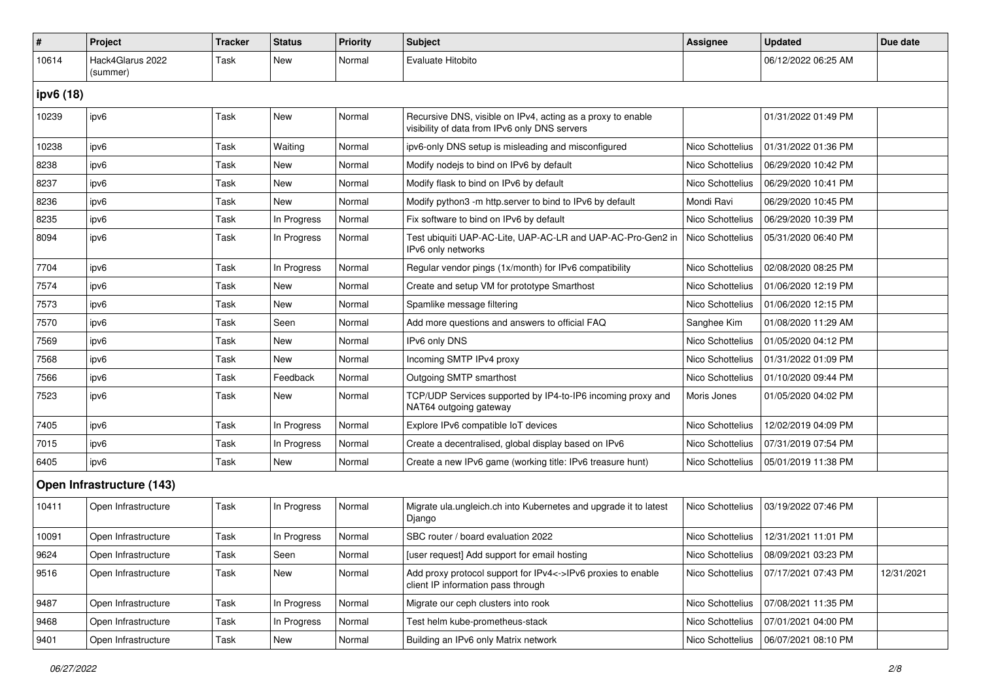| #         | Project                      | <b>Tracker</b> | <b>Status</b> | <b>Priority</b> | <b>Subject</b>                                                                                               | <b>Assignee</b>  | <b>Updated</b>                         | Due date   |  |  |  |
|-----------|------------------------------|----------------|---------------|-----------------|--------------------------------------------------------------------------------------------------------------|------------------|----------------------------------------|------------|--|--|--|
| 10614     | Hack4Glarus 2022<br>(summer) | Task           | New           | Normal          | Evaluate Hitobito                                                                                            |                  | 06/12/2022 06:25 AM                    |            |  |  |  |
| ipv6 (18) |                              |                |               |                 |                                                                                                              |                  |                                        |            |  |  |  |
| 10239     | ipv6                         | Task           | New           | Normal          | Recursive DNS, visible on IPv4, acting as a proxy to enable<br>visibility of data from IPv6 only DNS servers |                  | 01/31/2022 01:49 PM                    |            |  |  |  |
| 10238     | ipv6                         | Task           | Waiting       | Normal          | ipv6-only DNS setup is misleading and misconfigured                                                          | Nico Schottelius | 01/31/2022 01:36 PM                    |            |  |  |  |
| 8238      | ipv6                         | Task           | New           | Normal          | Modify nodejs to bind on IPv6 by default                                                                     | Nico Schottelius | 06/29/2020 10:42 PM                    |            |  |  |  |
| 8237      | ipv6                         | Task           | New           | Normal          | Modify flask to bind on IPv6 by default                                                                      | Nico Schottelius | 06/29/2020 10:41 PM                    |            |  |  |  |
| 8236      | ipv6                         | Task           | New           | Normal          | Modify python3 -m http.server to bind to IPv6 by default                                                     | Mondi Ravi       | 06/29/2020 10:45 PM                    |            |  |  |  |
| 8235      | ipv6                         | Task           | In Progress   | Normal          | Fix software to bind on IPv6 by default                                                                      | Nico Schottelius | 06/29/2020 10:39 PM                    |            |  |  |  |
| 8094      | ipv6                         | Task           | In Progress   | Normal          | Test ubiquiti UAP-AC-Lite, UAP-AC-LR and UAP-AC-Pro-Gen2 in<br>IPv6 only networks                            | Nico Schottelius | 05/31/2020 06:40 PM                    |            |  |  |  |
| 7704      | ipv6                         | Task           | In Progress   | Normal          | Regular vendor pings (1x/month) for IPv6 compatibility                                                       | Nico Schottelius | 02/08/2020 08:25 PM                    |            |  |  |  |
| 7574      | ipv6                         | Task           | New           | Normal          | Create and setup VM for prototype Smarthost                                                                  | Nico Schottelius | 01/06/2020 12:19 PM                    |            |  |  |  |
| 7573      | ipv6                         | Task           | New           | Normal          | Spamlike message filtering                                                                                   | Nico Schottelius | 01/06/2020 12:15 PM                    |            |  |  |  |
| 7570      | ipv6                         | Task           | Seen          | Normal          | Add more questions and answers to official FAQ                                                               | Sanghee Kim      | 01/08/2020 11:29 AM                    |            |  |  |  |
| 7569      | ipv6                         | Task           | New           | Normal          | IPv6 only DNS                                                                                                | Nico Schottelius | 01/05/2020 04:12 PM                    |            |  |  |  |
| 7568      | ipv6                         | Task           | <b>New</b>    | Normal          | Incoming SMTP IPv4 proxy                                                                                     | Nico Schottelius | 01/31/2022 01:09 PM                    |            |  |  |  |
| 7566      | ipv6                         | Task           | Feedback      | Normal          | Outgoing SMTP smarthost                                                                                      | Nico Schottelius | 01/10/2020 09:44 PM                    |            |  |  |  |
| 7523      | ipv6                         | Task           | New           | Normal          | TCP/UDP Services supported by IP4-to-IP6 incoming proxy and<br>NAT64 outgoing gateway                        | Moris Jones      | 01/05/2020 04:02 PM                    |            |  |  |  |
| 7405      | ipv6                         | Task           | In Progress   | Normal          | Explore IPv6 compatible IoT devices                                                                          | Nico Schottelius | 12/02/2019 04:09 PM                    |            |  |  |  |
| 7015      | ipv6                         | Task           | In Progress   | Normal          | Create a decentralised, global display based on IPv6                                                         | Nico Schottelius | 07/31/2019 07:54 PM                    |            |  |  |  |
| 6405      | ipv6                         | Task           | New           | Normal          | Create a new IPv6 game (working title: IPv6 treasure hunt)                                                   | Nico Schottelius | 05/01/2019 11:38 PM                    |            |  |  |  |
|           | Open Infrastructure (143)    |                |               |                 |                                                                                                              |                  |                                        |            |  |  |  |
| 10411     | Open Infrastructure          | Task           | In Progress   | Normal          | Migrate ula.ungleich.ch into Kubernetes and upgrade it to latest<br>Django                                   | Nico Schottelius | 03/19/2022 07:46 PM                    |            |  |  |  |
| 10091     | Open Infrastructure          | Task           | In Progress   | Normal          | SBC router / board evaluation 2022                                                                           | Nico Schottelius | 12/31/2021 11:01 PM                    |            |  |  |  |
| 9624      | Open Infrastructure          | Task           | Seen          | Normal          | [user request] Add support for email hosting                                                                 |                  | Nico Schottelius   08/09/2021 03:23 PM |            |  |  |  |
| 9516      | Open Infrastructure          | Task           | New           | Normal          | Add proxy protocol support for IPv4<->IPv6 proxies to enable<br>client IP information pass through           | Nico Schottelius | 07/17/2021 07:43 PM                    | 12/31/2021 |  |  |  |
| 9487      | Open Infrastructure          | Task           | In Progress   | Normal          | Migrate our ceph clusters into rook                                                                          | Nico Schottelius | 07/08/2021 11:35 PM                    |            |  |  |  |
| 9468      | Open Infrastructure          | Task           | In Progress   | Normal          | Test helm kube-prometheus-stack                                                                              | Nico Schottelius | 07/01/2021 04:00 PM                    |            |  |  |  |
| 9401      | Open Infrastructure          | Task           | New           | Normal          | Building an IPv6 only Matrix network                                                                         | Nico Schottelius | 06/07/2021 08:10 PM                    |            |  |  |  |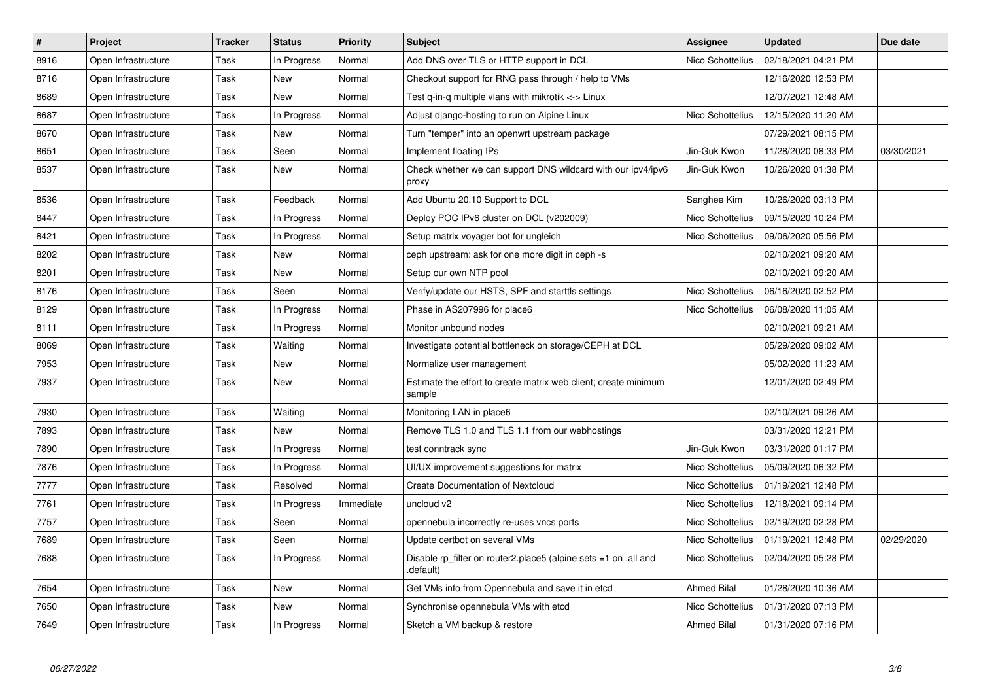| $\pmb{\#}$ | Project             | <b>Tracker</b> | <b>Status</b> | <b>Priority</b> | <b>Subject</b>                                                               | <b>Assignee</b>    | <b>Updated</b>      | Due date   |
|------------|---------------------|----------------|---------------|-----------------|------------------------------------------------------------------------------|--------------------|---------------------|------------|
| 8916       | Open Infrastructure | Task           | In Progress   | Normal          | Add DNS over TLS or HTTP support in DCL                                      | Nico Schottelius   | 02/18/2021 04:21 PM |            |
| 8716       | Open Infrastructure | Task           | New           | Normal          | Checkout support for RNG pass through / help to VMs                          |                    | 12/16/2020 12:53 PM |            |
| 8689       | Open Infrastructure | Task           | New           | Normal          | Test q-in-q multiple vlans with mikrotik <-> Linux                           |                    | 12/07/2021 12:48 AM |            |
| 8687       | Open Infrastructure | Task           | In Progress   | Normal          | Adjust django-hosting to run on Alpine Linux                                 | Nico Schottelius   | 12/15/2020 11:20 AM |            |
| 8670       | Open Infrastructure | Task           | New           | Normal          | Turn "temper" into an openwrt upstream package                               |                    | 07/29/2021 08:15 PM |            |
| 8651       | Open Infrastructure | Task           | Seen          | Normal          | Implement floating IPs                                                       | Jin-Guk Kwon       | 11/28/2020 08:33 PM | 03/30/2021 |
| 8537       | Open Infrastructure | Task           | New           | Normal          | Check whether we can support DNS wildcard with our ipv4/ipv6<br>proxy        | Jin-Guk Kwon       | 10/26/2020 01:38 PM |            |
| 8536       | Open Infrastructure | Task           | Feedback      | Normal          | Add Ubuntu 20.10 Support to DCL                                              | Sanghee Kim        | 10/26/2020 03:13 PM |            |
| 8447       | Open Infrastructure | Task           | In Progress   | Normal          | Deploy POC IPv6 cluster on DCL (v202009)                                     | Nico Schottelius   | 09/15/2020 10:24 PM |            |
| 8421       | Open Infrastructure | Task           | In Progress   | Normal          | Setup matrix voyager bot for ungleich                                        | Nico Schottelius   | 09/06/2020 05:56 PM |            |
| 8202       | Open Infrastructure | Task           | New           | Normal          | ceph upstream: ask for one more digit in ceph -s                             |                    | 02/10/2021 09:20 AM |            |
| 8201       | Open Infrastructure | Task           | New           | Normal          | Setup our own NTP pool                                                       |                    | 02/10/2021 09:20 AM |            |
| 8176       | Open Infrastructure | Task           | Seen          | Normal          | Verify/update our HSTS, SPF and starttls settings                            | Nico Schottelius   | 06/16/2020 02:52 PM |            |
| 8129       | Open Infrastructure | Task           | In Progress   | Normal          | Phase in AS207996 for place6                                                 | Nico Schottelius   | 06/08/2020 11:05 AM |            |
| 8111       | Open Infrastructure | Task           | In Progress   | Normal          | Monitor unbound nodes                                                        |                    | 02/10/2021 09:21 AM |            |
| 8069       | Open Infrastructure | Task           | Waiting       | Normal          | Investigate potential bottleneck on storage/CEPH at DCL                      |                    | 05/29/2020 09:02 AM |            |
| 7953       | Open Infrastructure | Task           | New           | Normal          | Normalize user management                                                    |                    | 05/02/2020 11:23 AM |            |
| 7937       | Open Infrastructure | Task           | New           | Normal          | Estimate the effort to create matrix web client; create minimum<br>sample    |                    | 12/01/2020 02:49 PM |            |
| 7930       | Open Infrastructure | Task           | Waiting       | Normal          | Monitoring LAN in place6                                                     |                    | 02/10/2021 09:26 AM |            |
| 7893       | Open Infrastructure | Task           | New           | Normal          | Remove TLS 1.0 and TLS 1.1 from our webhostings                              |                    | 03/31/2020 12:21 PM |            |
| 7890       | Open Infrastructure | Task           | In Progress   | Normal          | test conntrack sync                                                          | Jin-Guk Kwon       | 03/31/2020 01:17 PM |            |
| 7876       | Open Infrastructure | Task           | In Progress   | Normal          | UI/UX improvement suggestions for matrix                                     | Nico Schottelius   | 05/09/2020 06:32 PM |            |
| 7777       | Open Infrastructure | Task           | Resolved      | Normal          | <b>Create Documentation of Nextcloud</b>                                     | Nico Schottelius   | 01/19/2021 12:48 PM |            |
| 7761       | Open Infrastructure | Task           | In Progress   | Immediate       | uncloud v2                                                                   | Nico Schottelius   | 12/18/2021 09:14 PM |            |
| 7757       | Open Infrastructure | Task           | Seen          | Normal          | opennebula incorrectly re-uses vncs ports                                    | Nico Schottelius   | 02/19/2020 02:28 PM |            |
| 7689       | Open Infrastructure | Task           | Seen          | Normal          | Update certbot on several VMs                                                | Nico Schottelius   | 01/19/2021 12:48 PM | 02/29/2020 |
| 7688       | Open Infrastructure | Task           | In Progress   | Normal          | Disable rp_filter on router2.place5 (alpine sets =1 on .all and<br>.default) | Nico Schottelius   | 02/04/2020 05:28 PM |            |
| 7654       | Open Infrastructure | Task           | New           | Normal          | Get VMs info from Opennebula and save it in etcd                             | <b>Ahmed Bilal</b> | 01/28/2020 10:36 AM |            |
| 7650       | Open Infrastructure | Task           | <b>New</b>    | Normal          | Synchronise opennebula VMs with etcd                                         | Nico Schottelius   | 01/31/2020 07:13 PM |            |
| 7649       | Open Infrastructure | Task           | In Progress   | Normal          | Sketch a VM backup & restore                                                 | <b>Ahmed Bilal</b> | 01/31/2020 07:16 PM |            |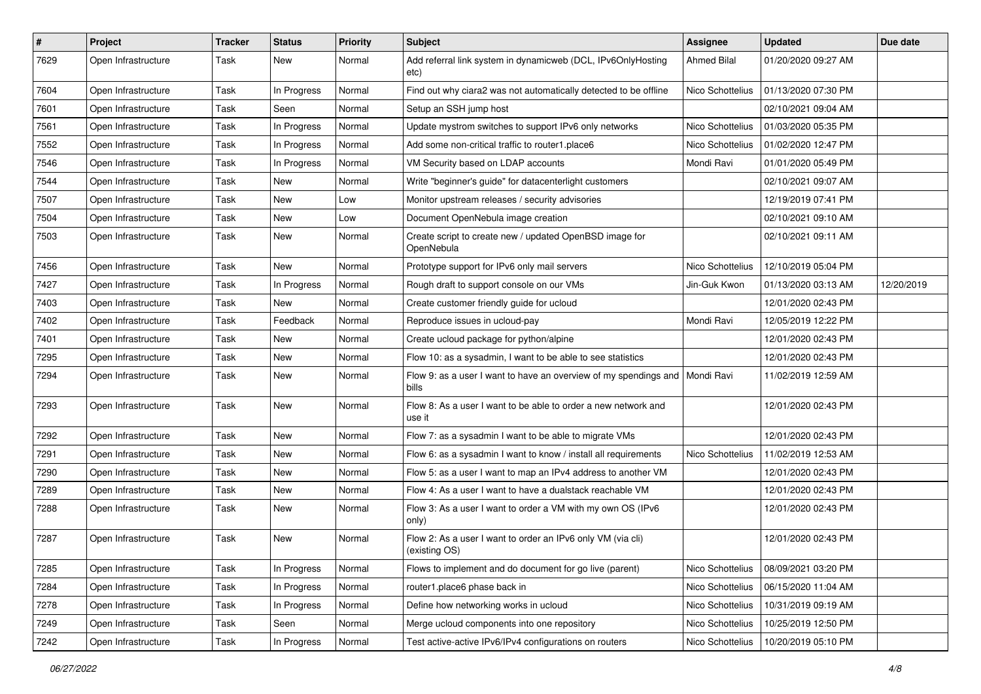| #    | Project             | Tracker | <b>Status</b> | <b>Priority</b> | <b>Subject</b>                                                               | <b>Assignee</b>  | <b>Updated</b>      | Due date   |
|------|---------------------|---------|---------------|-----------------|------------------------------------------------------------------------------|------------------|---------------------|------------|
| 7629 | Open Infrastructure | Task    | New           | Normal          | Add referral link system in dynamicweb (DCL, IPv6OnlyHosting<br>etc)         | Ahmed Bilal      | 01/20/2020 09:27 AM |            |
| 7604 | Open Infrastructure | Task    | In Progress   | Normal          | Find out why ciara2 was not automatically detected to be offline             | Nico Schottelius | 01/13/2020 07:30 PM |            |
| 7601 | Open Infrastructure | Task    | Seen          | Normal          | Setup an SSH jump host                                                       |                  | 02/10/2021 09:04 AM |            |
| 7561 | Open Infrastructure | Task    | In Progress   | Normal          | Update mystrom switches to support IPv6 only networks                        | Nico Schottelius | 01/03/2020 05:35 PM |            |
| 7552 | Open Infrastructure | Task    | In Progress   | Normal          | Add some non-critical traffic to router1.place6                              | Nico Schottelius | 01/02/2020 12:47 PM |            |
| 7546 | Open Infrastructure | Task    | In Progress   | Normal          | VM Security based on LDAP accounts                                           | Mondi Ravi       | 01/01/2020 05:49 PM |            |
| 7544 | Open Infrastructure | Task    | New           | Normal          | Write "beginner's guide" for datacenterlight customers                       |                  | 02/10/2021 09:07 AM |            |
| 7507 | Open Infrastructure | Task    | New           | Low             | Monitor upstream releases / security advisories                              |                  | 12/19/2019 07:41 PM |            |
| 7504 | Open Infrastructure | Task    | New           | Low             | Document OpenNebula image creation                                           |                  | 02/10/2021 09:10 AM |            |
| 7503 | Open Infrastructure | Task    | New           | Normal          | Create script to create new / updated OpenBSD image for<br>OpenNebula        |                  | 02/10/2021 09:11 AM |            |
| 7456 | Open Infrastructure | Task    | New           | Normal          | Prototype support for IPv6 only mail servers                                 | Nico Schottelius | 12/10/2019 05:04 PM |            |
| 7427 | Open Infrastructure | Task    | In Progress   | Normal          | Rough draft to support console on our VMs                                    | Jin-Guk Kwon     | 01/13/2020 03:13 AM | 12/20/2019 |
| 7403 | Open Infrastructure | Task    | New           | Normal          | Create customer friendly guide for ucloud                                    |                  | 12/01/2020 02:43 PM |            |
| 7402 | Open Infrastructure | Task    | Feedback      | Normal          | Reproduce issues in ucloud-pay                                               | Mondi Ravi       | 12/05/2019 12:22 PM |            |
| 7401 | Open Infrastructure | Task    | New           | Normal          | Create ucloud package for python/alpine                                      |                  | 12/01/2020 02:43 PM |            |
| 7295 | Open Infrastructure | Task    | New           | Normal          | Flow 10: as a sysadmin, I want to be able to see statistics                  |                  | 12/01/2020 02:43 PM |            |
| 7294 | Open Infrastructure | Task    | New           | Normal          | Flow 9: as a user I want to have an overview of my spendings and<br>bills    | Mondi Ravi       | 11/02/2019 12:59 AM |            |
| 7293 | Open Infrastructure | Task    | New           | Normal          | Flow 8: As a user I want to be able to order a new network and<br>use it     |                  | 12/01/2020 02:43 PM |            |
| 7292 | Open Infrastructure | Task    | New           | Normal          | Flow 7: as a sysadmin I want to be able to migrate VMs                       |                  | 12/01/2020 02:43 PM |            |
| 7291 | Open Infrastructure | Task    | New           | Normal          | Flow 6: as a sysadmin I want to know / install all requirements              | Nico Schottelius | 11/02/2019 12:53 AM |            |
| 7290 | Open Infrastructure | Task    | New           | Normal          | Flow 5: as a user I want to map an IPv4 address to another VM                |                  | 12/01/2020 02:43 PM |            |
| 7289 | Open Infrastructure | Task    | New           | Normal          | Flow 4: As a user I want to have a dualstack reachable VM                    |                  | 12/01/2020 02:43 PM |            |
| 7288 | Open Infrastructure | Task    | New           | Normal          | Flow 3: As a user I want to order a VM with my own OS (IPv6<br>only)         |                  | 12/01/2020 02:43 PM |            |
| 7287 | Open Infrastructure | Task    | New           | Normal          | Flow 2: As a user I want to order an IPv6 only VM (via cli)<br>(existing OS) |                  | 12/01/2020 02:43 PM |            |
| 7285 | Open Infrastructure | Task    | In Progress   | Normal          | Flows to implement and do document for go live (parent)                      | Nico Schottelius | 08/09/2021 03:20 PM |            |
| 7284 | Open Infrastructure | Task    | In Progress   | Normal          | router1.place6 phase back in                                                 | Nico Schottelius | 06/15/2020 11:04 AM |            |
| 7278 | Open Infrastructure | Task    | In Progress   | Normal          | Define how networking works in ucloud                                        | Nico Schottelius | 10/31/2019 09:19 AM |            |
| 7249 | Open Infrastructure | Task    | Seen          | Normal          | Merge ucloud components into one repository                                  | Nico Schottelius | 10/25/2019 12:50 PM |            |
| 7242 | Open Infrastructure | Task    | In Progress   | Normal          | Test active-active IPv6/IPv4 configurations on routers                       | Nico Schottelius | 10/20/2019 05:10 PM |            |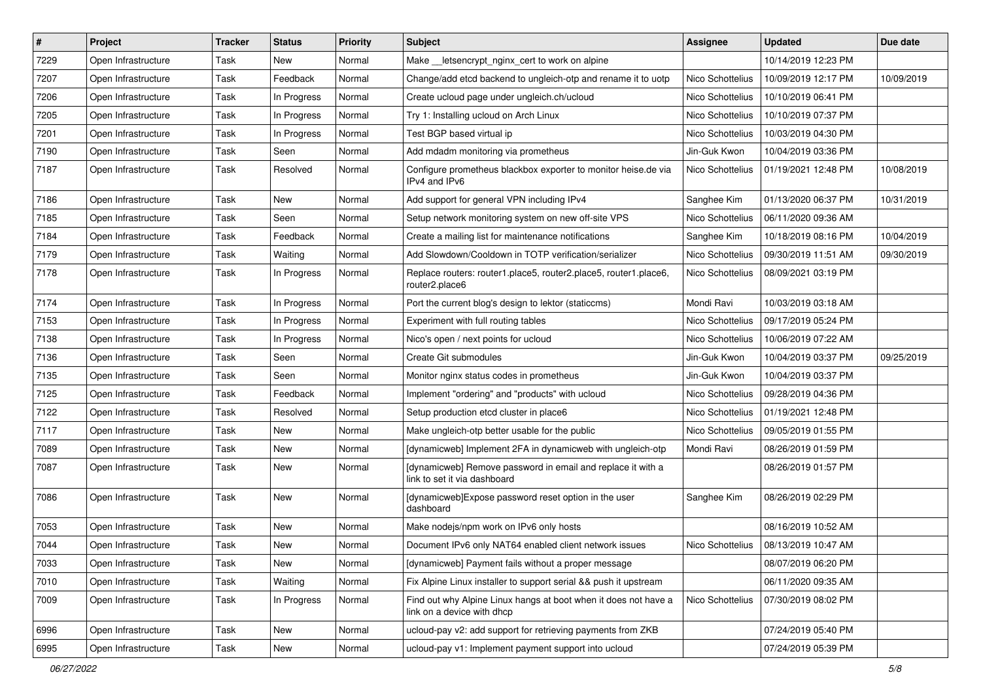| #    | Project             | <b>Tracker</b> | <b>Status</b> | <b>Priority</b> | <b>Subject</b>                                                                                | Assignee         | <b>Updated</b>      | Due date   |
|------|---------------------|----------------|---------------|-----------------|-----------------------------------------------------------------------------------------------|------------------|---------------------|------------|
| 7229 | Open Infrastructure | Task           | New           | Normal          | Make _letsencrypt_nginx_cert to work on alpine                                                |                  | 10/14/2019 12:23 PM |            |
| 7207 | Open Infrastructure | Task           | Feedback      | Normal          | Change/add etcd backend to ungleich-otp and rename it to uotp                                 | Nico Schottelius | 10/09/2019 12:17 PM | 10/09/2019 |
| 7206 | Open Infrastructure | Task           | In Progress   | Normal          | Create ucloud page under ungleich.ch/ucloud                                                   | Nico Schottelius | 10/10/2019 06:41 PM |            |
| 7205 | Open Infrastructure | Task           | In Progress   | Normal          | Try 1: Installing ucloud on Arch Linux                                                        | Nico Schottelius | 10/10/2019 07:37 PM |            |
| 7201 | Open Infrastructure | Task           | In Progress   | Normal          | Test BGP based virtual ip                                                                     | Nico Schottelius | 10/03/2019 04:30 PM |            |
| 7190 | Open Infrastructure | Task           | Seen          | Normal          | Add mdadm monitoring via prometheus                                                           | Jin-Guk Kwon     | 10/04/2019 03:36 PM |            |
| 7187 | Open Infrastructure | Task           | Resolved      | Normal          | Configure prometheus blackbox exporter to monitor heise.de via<br>IPv4 and IPv6               | Nico Schottelius | 01/19/2021 12:48 PM | 10/08/2019 |
| 7186 | Open Infrastructure | Task           | New           | Normal          | Add support for general VPN including IPv4                                                    | Sanghee Kim      | 01/13/2020 06:37 PM | 10/31/2019 |
| 7185 | Open Infrastructure | Task           | Seen          | Normal          | Setup network monitoring system on new off-site VPS                                           | Nico Schottelius | 06/11/2020 09:36 AM |            |
| 7184 | Open Infrastructure | Task           | Feedback      | Normal          | Create a mailing list for maintenance notifications                                           | Sanghee Kim      | 10/18/2019 08:16 PM | 10/04/2019 |
| 7179 | Open Infrastructure | Task           | Waiting       | Normal          | Add Slowdown/Cooldown in TOTP verification/serializer                                         | Nico Schottelius | 09/30/2019 11:51 AM | 09/30/2019 |
| 7178 | Open Infrastructure | Task           | In Progress   | Normal          | Replace routers: router1.place5, router2.place5, router1.place6,<br>router2.place6            | Nico Schottelius | 08/09/2021 03:19 PM |            |
| 7174 | Open Infrastructure | Task           | In Progress   | Normal          | Port the current blog's design to lektor (staticcms)                                          | Mondi Ravi       | 10/03/2019 03:18 AM |            |
| 7153 | Open Infrastructure | Task           | In Progress   | Normal          | Experiment with full routing tables                                                           | Nico Schottelius | 09/17/2019 05:24 PM |            |
| 7138 | Open Infrastructure | Task           | In Progress   | Normal          | Nico's open / next points for ucloud                                                          | Nico Schottelius | 10/06/2019 07:22 AM |            |
| 7136 | Open Infrastructure | Task           | Seen          | Normal          | Create Git submodules                                                                         | Jin-Guk Kwon     | 10/04/2019 03:37 PM | 09/25/2019 |
| 7135 | Open Infrastructure | Task           | Seen          | Normal          | Monitor nginx status codes in prometheus                                                      | Jin-Guk Kwon     | 10/04/2019 03:37 PM |            |
| 7125 | Open Infrastructure | Task           | Feedback      | Normal          | Implement "ordering" and "products" with ucloud                                               | Nico Schottelius | 09/28/2019 04:36 PM |            |
| 7122 | Open Infrastructure | Task           | Resolved      | Normal          | Setup production etcd cluster in place6                                                       | Nico Schottelius | 01/19/2021 12:48 PM |            |
| 7117 | Open Infrastructure | Task           | New           | Normal          | Make ungleich-otp better usable for the public                                                | Nico Schottelius | 09/05/2019 01:55 PM |            |
| 7089 | Open Infrastructure | Task           | New           | Normal          | [dynamicweb] Implement 2FA in dynamicweb with ungleich-otp                                    | Mondi Ravi       | 08/26/2019 01:59 PM |            |
| 7087 | Open Infrastructure | Task           | New           | Normal          | [dynamicweb] Remove password in email and replace it with a<br>link to set it via dashboard   |                  | 08/26/2019 01:57 PM |            |
| 7086 | Open Infrastructure | Task           | New           | Normal          | [dynamicweb]Expose password reset option in the user<br>dashboard                             | Sanghee Kim      | 08/26/2019 02:29 PM |            |
| 7053 | Open Infrastructure | Task           | <b>New</b>    | Normal          | Make nodejs/npm work on IPv6 only hosts                                                       |                  | 08/16/2019 10:52 AM |            |
| 7044 | Open Infrastructure | Task           | New           | Normal          | Document IPv6 only NAT64 enabled client network issues                                        | Nico Schottelius | 08/13/2019 10:47 AM |            |
| 7033 | Open Infrastructure | Task           | New           | Normal          | [dynamicweb] Payment fails without a proper message                                           |                  | 08/07/2019 06:20 PM |            |
| 7010 | Open Infrastructure | Task           | Waiting       | Normal          | Fix Alpine Linux installer to support serial && push it upstream                              |                  | 06/11/2020 09:35 AM |            |
| 7009 | Open Infrastructure | Task           | In Progress   | Normal          | Find out why Alpine Linux hangs at boot when it does not have a<br>link on a device with dhcp | Nico Schottelius | 07/30/2019 08:02 PM |            |
| 6996 | Open Infrastructure | Task           | New           | Normal          | ucloud-pay v2: add support for retrieving payments from ZKB                                   |                  | 07/24/2019 05:40 PM |            |
| 6995 | Open Infrastructure | Task           | New           | Normal          | ucloud-pay v1: Implement payment support into ucloud                                          |                  | 07/24/2019 05:39 PM |            |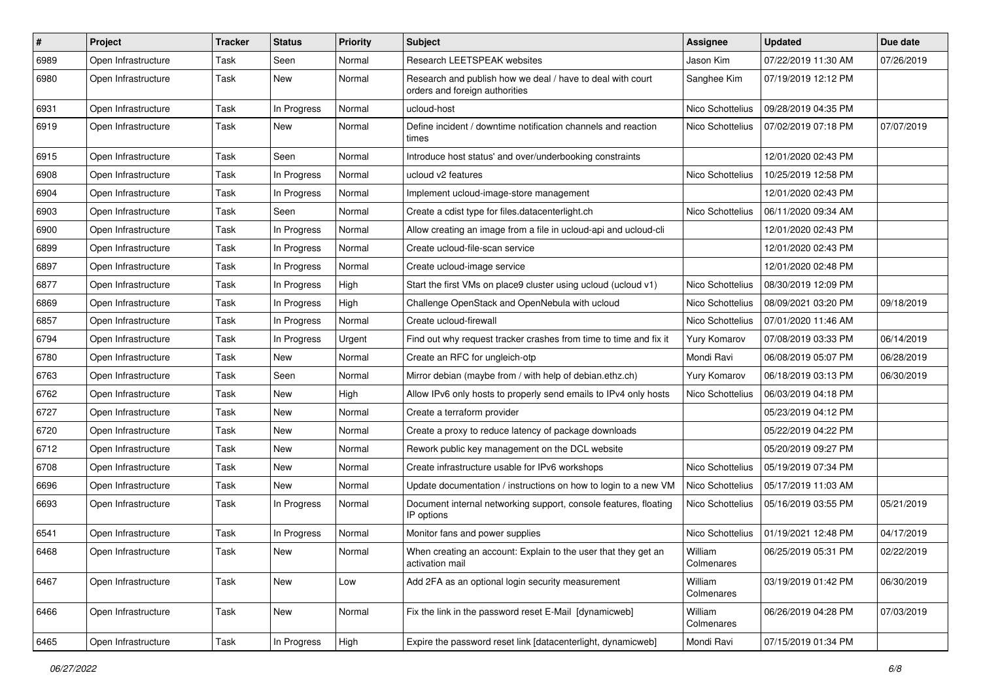| $\pmb{\#}$ | Project             | <b>Tracker</b> | <b>Status</b> | <b>Priority</b> | <b>Subject</b>                                                                               | <b>Assignee</b>       | <b>Updated</b>      | Due date   |
|------------|---------------------|----------------|---------------|-----------------|----------------------------------------------------------------------------------------------|-----------------------|---------------------|------------|
| 6989       | Open Infrastructure | Task           | Seen          | Normal          | Research LEETSPEAK websites                                                                  | Jason Kim             | 07/22/2019 11:30 AM | 07/26/2019 |
| 6980       | Open Infrastructure | Task           | New           | Normal          | Research and publish how we deal / have to deal with court<br>orders and foreign authorities | Sanghee Kim           | 07/19/2019 12:12 PM |            |
| 6931       | Open Infrastructure | Task           | In Progress   | Normal          | ucloud-host                                                                                  | Nico Schottelius      | 09/28/2019 04:35 PM |            |
| 6919       | Open Infrastructure | Task           | New           | Normal          | Define incident / downtime notification channels and reaction<br>times                       | Nico Schottelius      | 07/02/2019 07:18 PM | 07/07/2019 |
| 6915       | Open Infrastructure | Task           | Seen          | Normal          | Introduce host status' and over/underbooking constraints                                     |                       | 12/01/2020 02:43 PM |            |
| 6908       | Open Infrastructure | Task           | In Progress   | Normal          | ucloud v2 features                                                                           | Nico Schottelius      | 10/25/2019 12:58 PM |            |
| 6904       | Open Infrastructure | Task           | In Progress   | Normal          | Implement ucloud-image-store management                                                      |                       | 12/01/2020 02:43 PM |            |
| 6903       | Open Infrastructure | Task           | Seen          | Normal          | Create a cdist type for files.datacenterlight.ch                                             | Nico Schottelius      | 06/11/2020 09:34 AM |            |
| 6900       | Open Infrastructure | Task           | In Progress   | Normal          | Allow creating an image from a file in ucloud-api and ucloud-cli                             |                       | 12/01/2020 02:43 PM |            |
| 6899       | Open Infrastructure | Task           | In Progress   | Normal          | Create ucloud-file-scan service                                                              |                       | 12/01/2020 02:43 PM |            |
| 6897       | Open Infrastructure | Task           | In Progress   | Normal          | Create ucloud-image service                                                                  |                       | 12/01/2020 02:48 PM |            |
| 6877       | Open Infrastructure | Task           | In Progress   | High            | Start the first VMs on place9 cluster using ucloud (ucloud v1)                               | Nico Schottelius      | 08/30/2019 12:09 PM |            |
| 6869       | Open Infrastructure | Task           | In Progress   | High            | Challenge OpenStack and OpenNebula with ucloud                                               | Nico Schottelius      | 08/09/2021 03:20 PM | 09/18/2019 |
| 6857       | Open Infrastructure | Task           | In Progress   | Normal          | Create ucloud-firewall                                                                       | Nico Schottelius      | 07/01/2020 11:46 AM |            |
| 6794       | Open Infrastructure | Task           | In Progress   | Urgent          | Find out why request tracker crashes from time to time and fix it                            | Yury Komarov          | 07/08/2019 03:33 PM | 06/14/2019 |
| 6780       | Open Infrastructure | Task           | New           | Normal          | Create an RFC for ungleich-otp                                                               | Mondi Ravi            | 06/08/2019 05:07 PM | 06/28/2019 |
| 6763       | Open Infrastructure | Task           | Seen          | Normal          | Mirror debian (maybe from / with help of debian.ethz.ch)                                     | Yury Komarov          | 06/18/2019 03:13 PM | 06/30/2019 |
| 6762       | Open Infrastructure | Task           | New           | High            | Allow IPv6 only hosts to properly send emails to IPv4 only hosts                             | Nico Schottelius      | 06/03/2019 04:18 PM |            |
| 6727       | Open Infrastructure | Task           | New           | Normal          | Create a terraform provider                                                                  |                       | 05/23/2019 04:12 PM |            |
| 6720       | Open Infrastructure | Task           | New           | Normal          | Create a proxy to reduce latency of package downloads                                        |                       | 05/22/2019 04:22 PM |            |
| 6712       | Open Infrastructure | Task           | New           | Normal          | Rework public key management on the DCL website                                              |                       | 05/20/2019 09:27 PM |            |
| 6708       | Open Infrastructure | Task           | New           | Normal          | Create infrastructure usable for IPv6 workshops                                              | Nico Schottelius      | 05/19/2019 07:34 PM |            |
| 6696       | Open Infrastructure | Task           | <b>New</b>    | Normal          | Update documentation / instructions on how to login to a new VM                              | Nico Schottelius      | 05/17/2019 11:03 AM |            |
| 6693       | Open Infrastructure | Task           | In Progress   | Normal          | Document internal networking support, console features, floating<br>IP options               | Nico Schottelius      | 05/16/2019 03:55 PM | 05/21/2019 |
| 6541       | Open Infrastructure | Task           | In Progress   | Normal          | Monitor fans and power supplies                                                              | Nico Schottelius      | 01/19/2021 12:48 PM | 04/17/2019 |
| 6468       | Open Infrastructure | Task           | New           | Normal          | When creating an account: Explain to the user that they get an<br>activation mail            | William<br>Colmenares | 06/25/2019 05:31 PM | 02/22/2019 |
| 6467       | Open Infrastructure | Task           | New           | Low             | Add 2FA as an optional login security measurement                                            | William<br>Colmenares | 03/19/2019 01:42 PM | 06/30/2019 |
| 6466       | Open Infrastructure | Task           | New           | Normal          | Fix the link in the password reset E-Mail [dynamicweb]                                       | William<br>Colmenares | 06/26/2019 04:28 PM | 07/03/2019 |
| 6465       | Open Infrastructure | Task           | In Progress   | High            | Expire the password reset link [datacenterlight, dynamicweb]                                 | Mondi Ravi            | 07/15/2019 01:34 PM |            |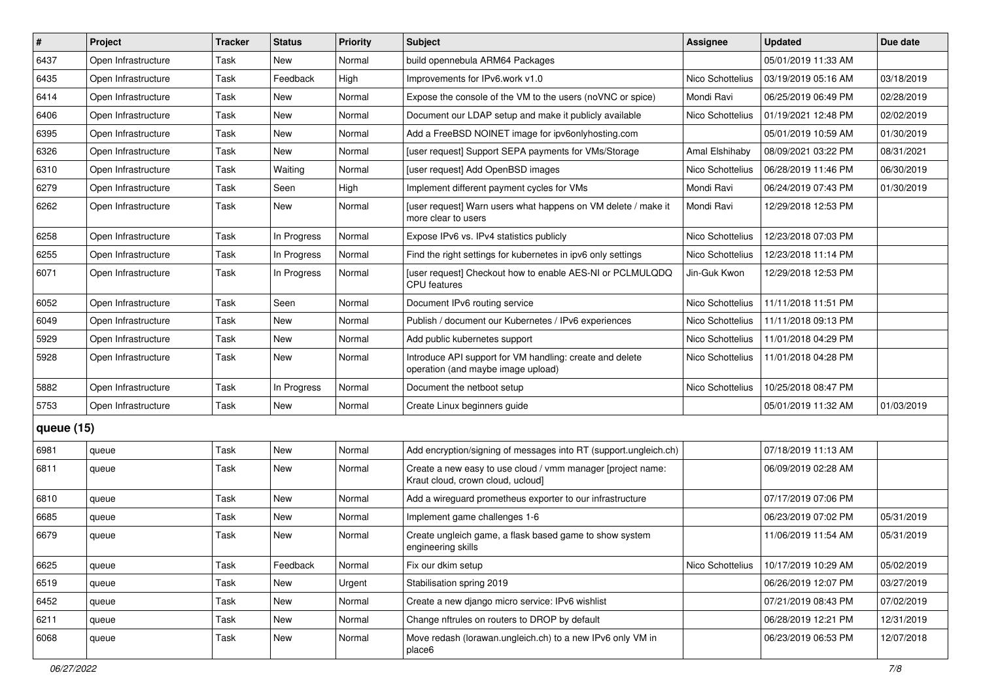| $\sharp$   | Project             | Tracker | <b>Status</b> | <b>Priority</b> | Subject                                                                                          | <b>Assignee</b>  | <b>Updated</b>      | Due date   |
|------------|---------------------|---------|---------------|-----------------|--------------------------------------------------------------------------------------------------|------------------|---------------------|------------|
| 6437       | Open Infrastructure | Task    | New           | Normal          | build opennebula ARM64 Packages                                                                  |                  | 05/01/2019 11:33 AM |            |
| 6435       | Open Infrastructure | Task    | Feedback      | High            | Improvements for IPv6.work v1.0                                                                  | Nico Schottelius | 03/19/2019 05:16 AM | 03/18/2019 |
| 6414       | Open Infrastructure | Task    | New           | Normal          | Expose the console of the VM to the users (noVNC or spice)                                       | Mondi Ravi       | 06/25/2019 06:49 PM | 02/28/2019 |
| 6406       | Open Infrastructure | Task    | New           | Normal          | Document our LDAP setup and make it publicly available                                           | Nico Schottelius | 01/19/2021 12:48 PM | 02/02/2019 |
| 6395       | Open Infrastructure | Task    | New           | Normal          | Add a FreeBSD NOINET image for ipv6onlyhosting.com                                               |                  | 05/01/2019 10:59 AM | 01/30/2019 |
| 6326       | Open Infrastructure | Task    | New           | Normal          | [user request] Support SEPA payments for VMs/Storage                                             | Amal Elshihaby   | 08/09/2021 03:22 PM | 08/31/2021 |
| 6310       | Open Infrastructure | Task    | Waiting       | Normal          | <b>[user request] Add OpenBSD images</b>                                                         | Nico Schottelius | 06/28/2019 11:46 PM | 06/30/2019 |
| 6279       | Open Infrastructure | Task    | Seen          | High            | Implement different payment cycles for VMs                                                       | Mondi Ravi       | 06/24/2019 07:43 PM | 01/30/2019 |
| 6262       | Open Infrastructure | Task    | New           | Normal          | [user request] Warn users what happens on VM delete / make it<br>more clear to users             | Mondi Ravi       | 12/29/2018 12:53 PM |            |
| 6258       | Open Infrastructure | Task    | In Progress   | Normal          | Expose IPv6 vs. IPv4 statistics publicly                                                         | Nico Schottelius | 12/23/2018 07:03 PM |            |
| 6255       | Open Infrastructure | Task    | In Progress   | Normal          | Find the right settings for kubernetes in ipv6 only settings                                     | Nico Schottelius | 12/23/2018 11:14 PM |            |
| 6071       | Open Infrastructure | Task    | In Progress   | Normal          | [user request] Checkout how to enable AES-NI or PCLMULQDQ<br><b>CPU</b> features                 | Jin-Guk Kwon     | 12/29/2018 12:53 PM |            |
| 6052       | Open Infrastructure | Task    | Seen          | Normal          | Document IPv6 routing service                                                                    | Nico Schottelius | 11/11/2018 11:51 PM |            |
| 6049       | Open Infrastructure | Task    | New           | Normal          | Publish / document our Kubernetes / IPv6 experiences                                             | Nico Schottelius | 11/11/2018 09:13 PM |            |
| 5929       | Open Infrastructure | Task    | New           | Normal          | Add public kubernetes support                                                                    | Nico Schottelius | 11/01/2018 04:29 PM |            |
| 5928       | Open Infrastructure | Task    | New           | Normal          | Introduce API support for VM handling: create and delete<br>operation (and maybe image upload)   | Nico Schottelius | 11/01/2018 04:28 PM |            |
| 5882       | Open Infrastructure | Task    | In Progress   | Normal          | Document the netboot setup                                                                       | Nico Schottelius | 10/25/2018 08:47 PM |            |
| 5753       | Open Infrastructure | Task    | New           | Normal          | Create Linux beginners guide                                                                     |                  | 05/01/2019 11:32 AM | 01/03/2019 |
| queue (15) |                     |         |               |                 |                                                                                                  |                  |                     |            |
| 6981       | queue               | Task    | New           | Normal          | Add encryption/signing of messages into RT (support.ungleich.ch)                                 |                  | 07/18/2019 11:13 AM |            |
| 6811       | queue               | Task    | New           | Normal          | Create a new easy to use cloud / vmm manager [project name:<br>Kraut cloud, crown cloud, ucloud] |                  | 06/09/2019 02:28 AM |            |
| 6810       | queue               | Task    | New           | Normal          | Add a wireguard prometheus exporter to our infrastructure                                        |                  | 07/17/2019 07:06 PM |            |
| 6685       | queue               | Task    | New           | Normal          | Implement game challenges 1-6                                                                    |                  | 06/23/2019 07:02 PM | 05/31/2019 |
| 6679       | queue               | Task    | New           | Normal          | Create ungleich game, a flask based game to show system<br>engineering skills                    |                  | 11/06/2019 11:54 AM | 05/31/2019 |
| 6625       | queue               | Task    | Feedback      | Normal          | Fix our dkim setup                                                                               | Nico Schottelius | 10/17/2019 10:29 AM | 05/02/2019 |
| 6519       | queue               | Task    | New           | Urgent          | Stabilisation spring 2019                                                                        |                  | 06/26/2019 12:07 PM | 03/27/2019 |
| 6452       | queue               | Task    | New           | Normal          | Create a new django micro service: IPv6 wishlist                                                 |                  | 07/21/2019 08:43 PM | 07/02/2019 |
| 6211       | queue               | Task    | New           | Normal          | Change nftrules on routers to DROP by default                                                    |                  | 06/28/2019 12:21 PM | 12/31/2019 |
| 6068       | queue               | Task    | New           | Normal          | Move redash (lorawan.ungleich.ch) to a new IPv6 only VM in<br>place6                             |                  | 06/23/2019 06:53 PM | 12/07/2018 |